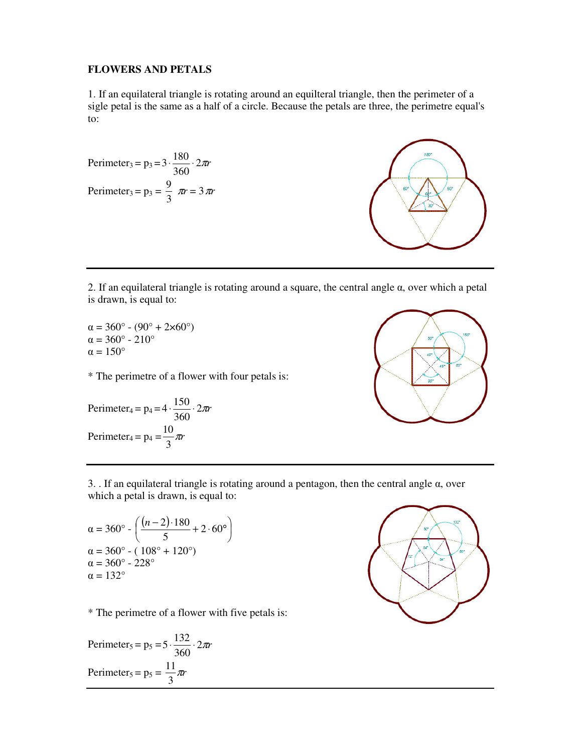## **FLOWERS AND PETALS**

1. If an equilateral triangle is rotating around an equilteral triangle, then the perimeter of a sigle petal is the same as a half of a circle. Because the petals are three, the perimetre equal's to:

Perimeter<sub>3</sub> = p<sub>3</sub> = 3 · 
$$
\frac{180}{360}
$$
 · 2 $\pi r$   
Perimeter<sub>3</sub> = p<sub>3</sub> =  $\frac{9}{3} \pi r = 3\pi r$ 



2. If an equilateral triangle is rotating around a square, the central angle  $\alpha$ , over which a petal is drawn, is equal to:

 $\alpha = 360^{\circ} - (90^{\circ} + 2 \times 60^{\circ})$ α = 360° - 210°  $\alpha = 150^{\circ}$ 

\* The perimetre of a flower with four petals is:

Perimeter<sub>4</sub> = p<sub>4</sub> = 
$$
4 \cdot \frac{150}{360} \cdot 2\pi r
$$
  
Perimeter<sub>4</sub> = p<sub>4</sub> =  $\frac{10}{3}\pi r$ 



3. . If an equilateral triangle is rotating around a pentagon, then the central angle  $\alpha$ , over which a petal is drawn, is equal to:

$$
\alpha = 360^{\circ} - \left(\frac{(n-2) \cdot 180}{5} + 2 \cdot 60^{\circ}\right)
$$
  
\n
$$
\alpha = 360^{\circ} - (108^{\circ} + 120^{\circ})
$$
  
\n
$$
\alpha = 360^{\circ} - 228^{\circ}
$$
  
\n
$$
\alpha = 132^{\circ}
$$

\* The perimetre of a flower with five petals is:

Perimeter<sub>5</sub> = p<sub>5</sub> = 
$$
5 \cdot \frac{132}{360} \cdot 2\pi r
$$
  
Perimeter<sub>5</sub> = p<sub>5</sub> =  $\frac{11}{3}\pi r$ 

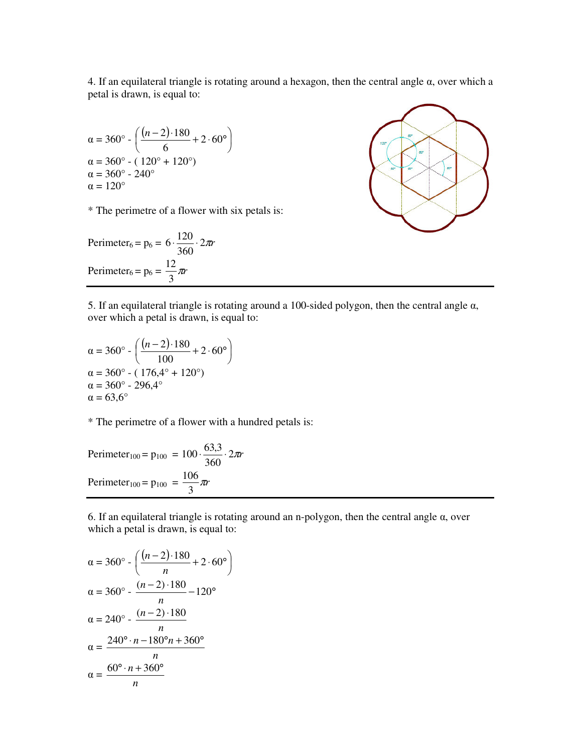4. If an equilateral triangle is rotating around a hexagon, then the central angle  $\alpha$ , over which a petal is drawn, is equal to:

$$
\alpha = 360^{\circ} - \left(\frac{(n-2) \cdot 180}{6} + 2 \cdot 60^{\circ}\right)
$$
  
\n
$$
\alpha = 360^{\circ} - (120^{\circ} + 120^{\circ})
$$
  
\n
$$
\alpha = 360^{\circ} - 240^{\circ}
$$
  
\n
$$
\alpha = 120^{\circ}
$$

\* The perimetre of a flower with six petals is:

Perimeter<sub>6</sub> = p<sub>6</sub> = 
$$
6 \cdot \frac{120}{360} \cdot 2\pi r
$$
  
Perimeter<sub>6</sub> = p<sub>6</sub> =  $\frac{12}{3}\pi r$ 



5. If an equilateral triangle is rotating around a 100-sided polygon, then the central angle  $\alpha$ , over which a petal is drawn, is equal to:

$$
\alpha = 360^{\circ} - \left(\frac{(n-2) \cdot 180}{100} + 2 \cdot 60^{\circ}\right)
$$
  
\n
$$
\alpha = 360^{\circ} - (176.4^{\circ} + 120^{\circ})
$$
  
\n
$$
\alpha = 360^{\circ} - 296.4^{\circ}
$$
  
\n
$$
\alpha = 63.6^{\circ}
$$

\* The perimetre of a flower with a hundred petals is:

Perimeter<sub>100</sub> = p<sub>100</sub> = 100 
$$
\cdot \frac{63,3}{360} \cdot 2\pi r
$$
  
Perimeter<sub>100</sub> = p<sub>100</sub> =  $\frac{106}{3}\pi r$ 

6. If an equilateral triangle is rotating around an n-polygon, then the central angle α, over which a petal is drawn, is equal to:

$$
\alpha = 360^{\circ} - \left(\frac{(n-2) \cdot 180}{n} + 2 \cdot 60^{\circ}\right)
$$
  
\n
$$
\alpha = 360^{\circ} - \frac{(n-2) \cdot 180}{n} - 120^{\circ}
$$
  
\n
$$
\alpha = 240^{\circ} - \frac{(n-2) \cdot 180}{n}
$$
  
\n
$$
\alpha = \frac{240^{\circ} \cdot n - 180^{\circ} n + 360^{\circ}}{n}
$$
  
\n
$$
\alpha = \frac{60^{\circ} \cdot n + 360^{\circ}}{n}
$$